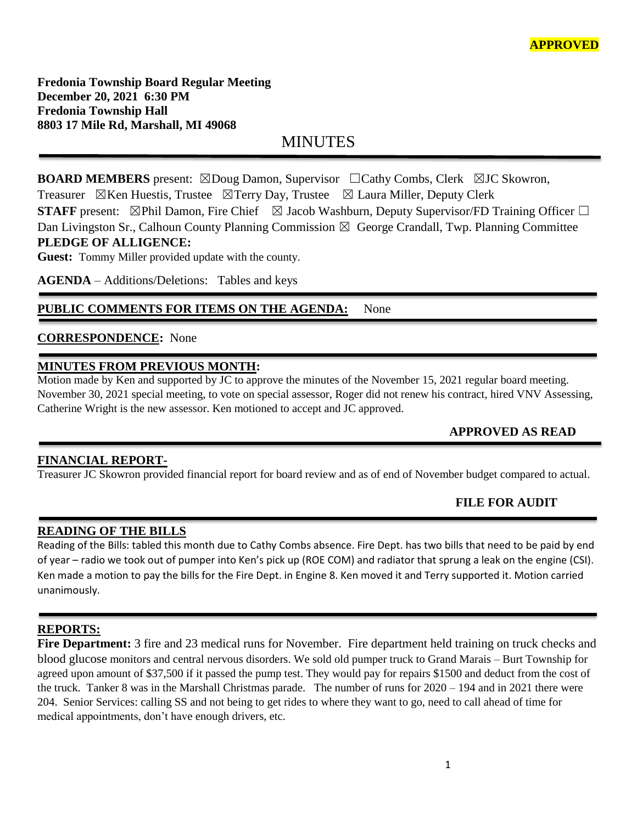**Fredonia Township Board Regular Meeting December 20, 2021 6:30 PM Fredonia Township Hall 8803 17 Mile Rd, Marshall, MI 49068**

MINUTES

**BOARD MEMBERS** present: ⊠Doug Damon, Supervisor □Cathy Combs, Clerk ⊠JC Skowron, Treasurer  $\boxtimes$ Ken Huestis, Trustee  $\boxtimes$ Terry Day, Trustee  $\boxtimes$  Laura Miller, Deputy Clerk **STAFF** present: ⊠Phil Damon, Fire Chief ⊠ Jacob Washburn, Deputy Supervisor/FD Training Officer □ Dan Livingston Sr., Calhoun County Planning Commission  $\boxtimes$  George Crandall, Twp. Planning Committee

## **PLEDGE OF ALLIGENCE:**

**Guest:** Tommy Miller provided update with the county.

**AGENDA** – Additions/Deletions: Tables and keys

## PUBLIC COMMENTS FOR ITEMS ON THE AGENDA: None

## **CORRESPONDENCE:** None

## **MINUTES FROM PREVIOUS MONTH:**

Motion made by Ken and supported by JC to approve the minutes of the November 15, 2021 regular board meeting. November 30, 2021 special meeting, to vote on special assessor, Roger did not renew his contract, hired VNV Assessing, Catherine Wright is the new assessor. Ken motioned to accept and JC approved.

# **APPROVED AS READ**

## **FINANCIAL REPORT-**

Treasurer JC Skowron provided financial report for board review and as of end of November budget compared to actual.

l

## **FILE FOR AUDIT**

## **READING OF THE BILLS**

Reading of the Bills: tabled this month due to Cathy Combs absence. Fire Dept. has two bills that need to be paid by end of year – radio we took out of pumper into Ken's pick up (ROE COM) and radiator that sprung a leak on the engine (CSI). Ken made a motion to pay the bills for the Fire Dept. in Engine 8. Ken moved it and Terry supported it. Motion carried unanimously.

## **REPORTS:**

**Fire Department:** 3 fire and 23 medical runs for November. Fire department held training on truck checks and blood glucose monitors and central nervous disorders. We sold old pumper truck to Grand Marais – Burt Township for agreed upon amount of \$37,500 if it passed the pump test. They would pay for repairs \$1500 and deduct from the cost of the truck. Tanker 8 was in the Marshall Christmas parade. The number of runs for 2020 – 194 and in 2021 there were 204. Senior Services: calling SS and not being to get rides to where they want to go, need to call ahead of time for medical appointments, don't have enough drivers, etc.